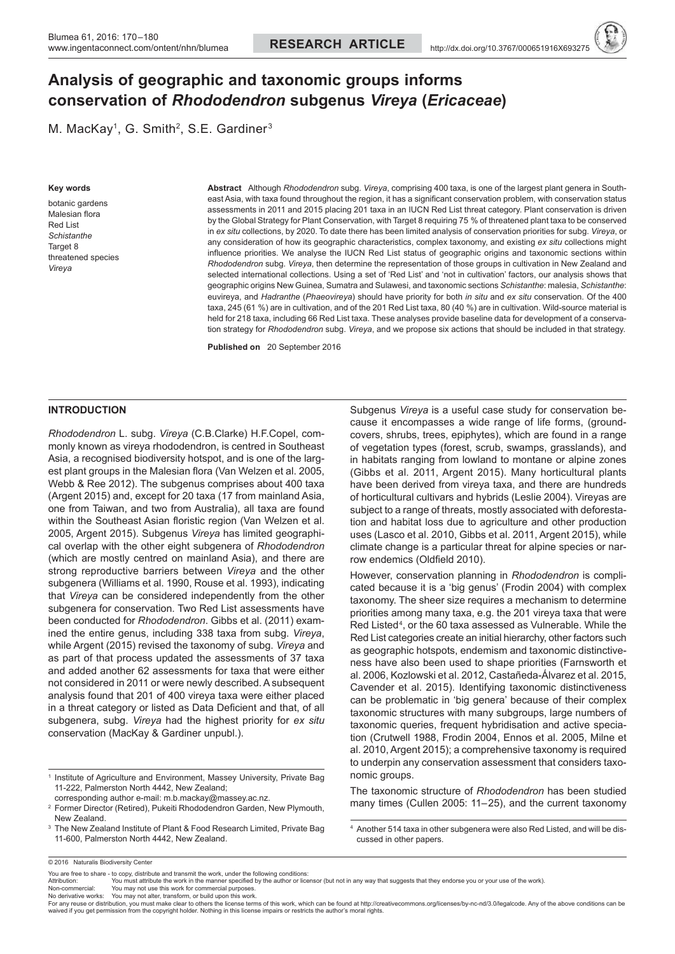# **Analysis of geographic and taxonomic groups informs conservation of** *Rhododendron* **subgenus** *Vireya* **(***Ericaceae***)**

M. MacKay<sup>1</sup>, G. Smith<sup>2</sup>, S.E. Gardiner<sup>3</sup>

#### **Key words**

botanic gardens Malesian flora Red List *Schistanthe* Target 8 threatened species *Vireya*

**Abstract** Although *Rhododendron* subg. *Vireya*, comprising 400 taxa, is one of the largest plant genera in Southeast Asia, with taxa found throughout the region, it has a significant conservation problem, with conservation status assessments in 2011 and 2015 placing 201 taxa in an IUCN Red List threat category. Plant conservation is driven by the Global Strategy for Plant Conservation, with Target 8 requiring 75 % of threatened plant taxa to be conserved in *ex situ* collections, by 2020. To date there has been limited analysis of conservation priorities for subg. *Vireya*, or any consideration of how its geographic characteristics, complex taxonomy, and existing *ex situ* collections might influence priorities. We analyse the IUCN Red List status of geographic origins and taxonomic sections within *Rhododendron* subg. *Vireya*, then determine the representation of those groups in cultivation in New Zealand and selected international collections. Using a set of 'Red List' and 'not in cultivation' factors, our analysis shows that geographic origins New Guinea, Sumatra and Sulawesi, and taxonomic sections *Schistanthe*: malesia, *Schistanthe*: euvireya, and *Hadranthe* (*Phaeovireya*) should have priority for both *in situ* and *ex situ* conservation. Of the 400 taxa, 245 (61 %) are in cultivation, and of the 201 Red List taxa, 80 (40 %) are in cultivation. Wild-source material is held for 218 taxa, including 66 Red List taxa. These analyses provide baseline data for development of a conservation strategy for *Rhododendron* subg. *Vireya*, and we propose six actions that should be included in that strategy.

**Published on** 20 September 2016

#### **Introduction**

*Rhododendron* L. subg. *Vireya* (C.B.Clarke) H.F.Copel, commonly known as vireya rhododendron, is centred in Southeast Asia, a recognised biodiversity hotspot, and is one of the largest plant groups in the Malesian flora (Van Welzen et al. 2005, Webb & Ree 2012). The subgenus comprises about 400 taxa (Argent 2015) and, except for 20 taxa (17 from mainland Asia, one from Taiwan, and two from Australia), all taxa are found within the Southeast Asian floristic region (Van Welzen et al. 2005, Argent 2015). Subgenus *Vireya* has limited geographical overlap with the other eight subgenera of *Rhododendron* (which are mostly centred on mainland Asia), and there are strong reproductive barriers between *Vireya* and the other subgenera (Williams et al. 1990, Rouse et al. 1993), indicating that *Vireya* can be considered independently from the other subgenera for conservation. Two Red List assessments have been conducted for *Rhododendron*. Gibbs et al. (2011) examined the entire genus, including 338 taxa from subg. *Vireya*, while Argent (2015) revised the taxonomy of subg. *Vireya* and as part of that process updated the assessments of 37 taxa and added another 62 assessments for taxa that were either not considered in 2011 or were newly described.Asubsequent analysis found that 201 of 400 vireya taxa were either placed in a threat category or listed as Data Deficient and that, of all subgenera, subg. *Vireya* had the highest priority for *ex situ* conservation (MacKay & Gardiner unpubl.).

Subgenus *Vireya* is a useful case study for conservation because it encompasses a wide range of life forms, (groundcovers, shrubs, trees, epiphytes), which are found in a range of vegetation types (forest, scrub, swamps, grasslands), and in habitats ranging from lowland to montane or alpine zones (Gibbs et al. 2011, Argent 2015). Many horticultural plants have been derived from vireya taxa, and there are hundreds of horticultural cultivars and hybrids (Leslie 2004). Vireyas are subject to a range of threats, mostly associated with deforestation and habitat loss due to agriculture and other production uses (Lasco et al. 2010, Gibbs et al. 2011, Argent 2015), while climate change is a particular threat for alpine species or narrow endemics (Oldfield 2010).

However, conservation planning in *Rhododendron* is complicated because it is a 'big genus' (Frodin 2004) with complex taxonomy. The sheer size requires a mechanism to determine priorities among many taxa, e.g. the 201 vireya taxa that were Red Listed<sup>4</sup>, or the 60 taxa assessed as Vulnerable. While the Red List categories create an initial hierarchy, other factors such as geographic hotspots, endemism and taxonomic distinctiveness have also been used to shape priorities (Farnsworth et al. 2006, Kozlowski et al. 2012, Castañeda-Álvarez et al. 2015, Cavender et al. 2015). Identifying taxonomic distinctiveness can be problematic in 'big genera' because of their complex taxonomic structures with many subgroups, large numbers of taxonomic queries, frequent hybridisation and active speciation (Crutwell 1988, Frodin 2004, Ennos et al. 2005, Milne et al. 2010, Argent 2015); a comprehensive taxonomy is required to underpin any conservation assessment that considers taxonomic groups.

The taxonomic structure of *Rhododendron* has been studied many times (Cullen 2005: 11–25), and the current taxonomy

Non-commercial: You may not use this work for commercial purposes.<br>No derivative works: You may not alter, transform, or build upon this work.<br>For any reuse or distribution, you must make clear to others the tlicense te waived if you get permission from the copyright holder. Nothing in this license impairs or restricts the author's moral rights.

<sup>&</sup>lt;sup>1</sup> Institute of Agriculture and Environment, Massey University, Private Bag 11-222, Palmerston North 4442, New Zealand;

corresponding author e-mail: m.b.mackay@massey.ac.nz.

<sup>&</sup>lt;sup>2</sup> Former Director (Retired), Pukeiti Rhododendron Garden, New Plymouth, New Zealand.

<sup>&</sup>lt;sup>3</sup> The New Zealand Institute of Plant & Food Research Limited, Private Bag 11-600, Palmerston North 4442, New Zealand.

<sup>4</sup> Another 514 taxa in other subgenera were also Red Listed, and will be discussed in other papers.

<sup>© 2016</sup> Naturalis Biodiversity Center

You are free to share - to copy, distribute and transmit the work, under the following conditions<br>Attribution: You must attribute the work in the manner specified by the author or lice

Attribution: You must attribute the work in the manner specified by the author or licensor (but not in any way that suggests that they endorse you or your use of the work).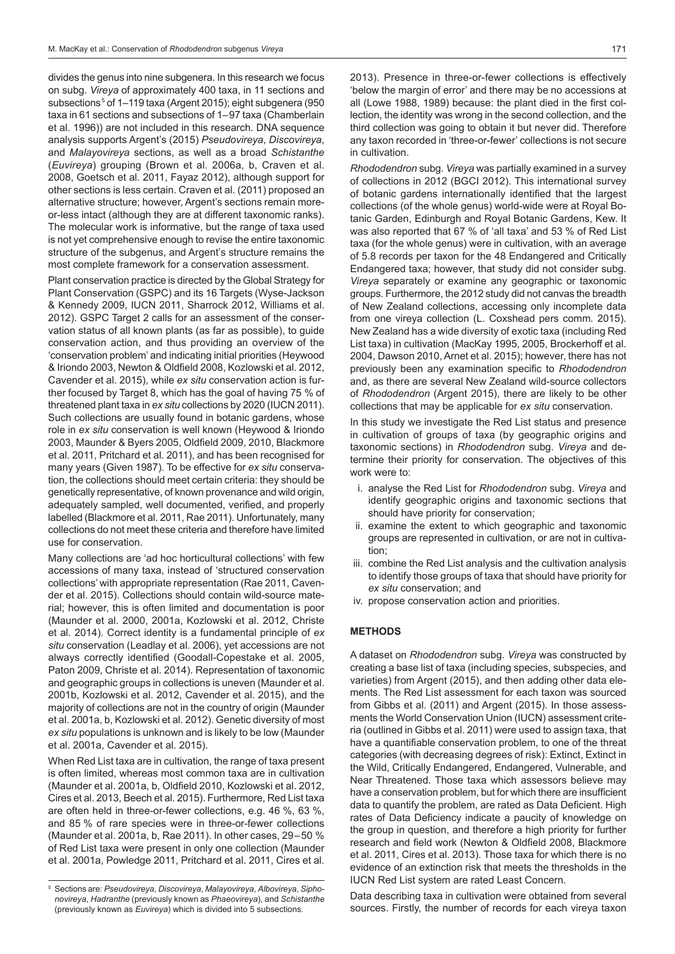divides the genus into nine subgenera. In this research we focus on subg. *Vireya* of approximately 400 taxa, in 11 sections and subsections<sup>5</sup> of 1–119 taxa (Argent 2015); eight subgenera (950 taxa in 61 sections and subsections of 1–97 taxa (Chamberlain et al. 1996)) are not included in this research. DNA sequence analysis supports Argent's (2015) *Pseudovireya*, *Discovireya*, and *Malayovireya* sections, as well as a broad *Schistanthe* (*Euvireya*) grouping (Brown et al. 2006a, b, Craven et al. 2008, Goetsch et al. 2011, Fayaz 2012), although support for other sections is less certain. Craven et al. (2011) proposed an alternative structure; however, Argent's sections remain moreor-less intact (although they are at different taxonomic ranks). The molecular work is informative, but the range of taxa used is not yet comprehensive enough to revise the entire taxonomic structure of the subgenus, and Argent's structure remains the most complete framework for a conservation assessment.

Plant conservation practice is directed by the Global Strategy for Plant Conservation (GSPC) and its 16 Targets (Wyse-Jackson & Kennedy 2009, IUCN 2011, Sharrock 2012, Williams et al. 2012). GSPC Target 2 calls for an assessment of the conservation status of all known plants (as far as possible), to guide conservation action, and thus providing an overview of the 'conservation problem' and indicating initial priorities (Heywood & Iriondo 2003, Newton & Oldfield 2008, Kozlowski et al. 2012, Cavender et al. 2015), while *ex situ* conservation action is further focused by Target 8, which has the goal of having 75 % of threatened plant taxa in *ex situ* collections by 2020 (IUCN 2011). Such collections are usually found in botanic gardens, whose role in *ex situ* conservation is well known (Heywood & Iriondo 2003, Maunder & Byers 2005, Oldfield 2009, 2010, Blackmore et al. 2011, Pritchard et al. 2011), and has been recognised for many years (Given 1987). To be effective for *ex situ* conservation, the collections should meet certain criteria: they should be genetically representative, of known provenance and wild origin, adequately sampled, well documented, verified, and properly labelled (Blackmore et al. 2011, Rae 2011). Unfortunately, many collections do not meet these criteria and therefore have limited use for conservation.

Many collections are 'ad hoc horticultural collections' with few accessions of many taxa, instead of 'structured conservation collections' with appropriate representation (Rae 2011, Cavender et al. 2015). Collections should contain wild-source material; however, this is often limited and documentation is poor (Maunder et al. 2000, 2001a, Kozlowski et al. 2012, Christe et al. 2014). Correct identity is a fundamental principle of *ex situ* conservation (Leadlay et al. 2006), yet accessions are not always correctly identified (Goodall-Copestake et al. 2005, Paton 2009, Christe et al. 2014). Representation of taxonomic and geographic groups in collections is uneven (Maunder et al. 2001b, Kozlowski et al. 2012, Cavender et al. 2015), and the majority of collections are not in the country of origin (Maunder et al. 2001a, b, Kozlowski et al. 2012). Genetic diversity of most *ex situ* populations is unknown and is likely to be low (Maunder et al. 2001a, Cavender et al. 2015).

When Red List taxa are in cultivation, the range of taxa present is often limited, whereas most common taxa are in cultivation (Maunder et al. 2001a, b, Oldfield 2010, Kozlowski et al. 2012, Cires et al. 2013, Beech et al. 2015). Furthermore, Red List taxa are often held in three-or-fewer collections, e.g. 46 %, 63 %, and 85 % of rare species were in three-or-fewer collections (Maunder et al. 2001a, b, Rae 2011). In other cases, 29–50 % of Red List taxa were present in only one collection (Maunder et al. 2001a, Powledge 2011, Pritchard et al. 2011, Cires et al.

2013). Presence in three-or-fewer collections is effectively 'below the margin of error' and there may be no accessions at all (Lowe 1988, 1989) because: the plant died in the first collection, the identity was wrong in the second collection, and the third collection was going to obtain it but never did. Therefore any taxon recorded in 'three-or-fewer' collections is not secure in cultivation.

*Rhododendron* subg. *Vireya* was partially examined in a survey of collections in 2012 (BGCI 2012). This international survey of botanic gardens internationally identified that the largest collections (of the whole genus) world-wide were at Royal Botanic Garden, Edinburgh and Royal Botanic Gardens, Kew. It was also reported that 67 % of 'all taxa' and 53 % of Red List taxa (for the whole genus) were in cultivation, with an average of 5.8 records per taxon for the 48 Endangered and Critically Endangered taxa; however, that study did not consider subg. *Vireya* separately or examine any geographic or taxonomic groups. Furthermore, the 2012 study did not canvas the breadth of New Zealand collections, accessing only incomplete data from one vireya collection (L. Coxshead pers comm*.* 2015). New Zealand has a wide diversity of exotic taxa (including Red List taxa) in cultivation (MacKay 1995, 2005, Brockerhoff et al. 2004, Dawson 2010,Arnet et al. 2015); however, there has not previously been any examination specific to *Rhododendron* and, as there are several New Zealand wild-source collectors of *Rhododendron* (Argent 2015), there are likely to be other collections that may be applicable for *ex situ* conservation.

In this study we investigate the Red List status and presence in cultivation of groups of taxa (by geographic origins and taxonomic sections) in *Rhododendron* subg. *Vireya* and determine their priority for conservation. The objectives of this work were to:

- i. analyse the Red List for *Rhododendron* subg. Vireya and identify geographic origins and taxonomic sections that should have priority for conservation;
- ii. examine the extent to which geographic and taxonomic groups are represented in cultivation, or are not in cultivation;
- iii. combine the Red List analysis and the cultivation analysis to identify those groups of taxa that should have priority for *ex situ* conservation; and
- iv. propose conservation action and priorities.

# **Methods**

A dataset on *Rhododendron* subg. *Vireya* was constructed by creating a base list of taxa (including species, subspecies, and varieties) from Argent (2015), and then adding other data elements. The Red List assessment for each taxon was sourced from Gibbs et al. (2011) and Argent (2015). In those assessments the World Conservation Union (IUCN) assessment criteria (outlined in Gibbs et al. 2011) were used to assign taxa, that have a quantifiable conservation problem, to one of the threat categories (with decreasing degrees of risk): Extinct, Extinct in the Wild, Critically Endangered, Endangered, Vulnerable, and Near Threatened. Those taxa which assessors believe may have a conservation problem, but for which there are insufficient data to quantify the problem, are rated as Data Deficient. High rates of Data Deficiency indicate a paucity of knowledge on the group in question, and therefore a high priority for further research and field work (Newton & Oldfield 2008, Blackmore et al. 2011, Cires et al. 2013). Those taxa for which there is no evidence of an extinction risk that meets the thresholds in the IUCN Red List system are rated Least Concern.

Data describing taxa in cultivation were obtained from several sources. Firstly, the number of records for each vireya taxon

<sup>5</sup> Sections are: *Pseudovireya*, *Discovireya*, *Malayovireya*, *Albovireya*, *Siphonovireya*, *Hadranthe* (previously known as *Phaeovireya*), and *Schistanthe* (previously known as *Euvireya*) which is divided into 5 subsections.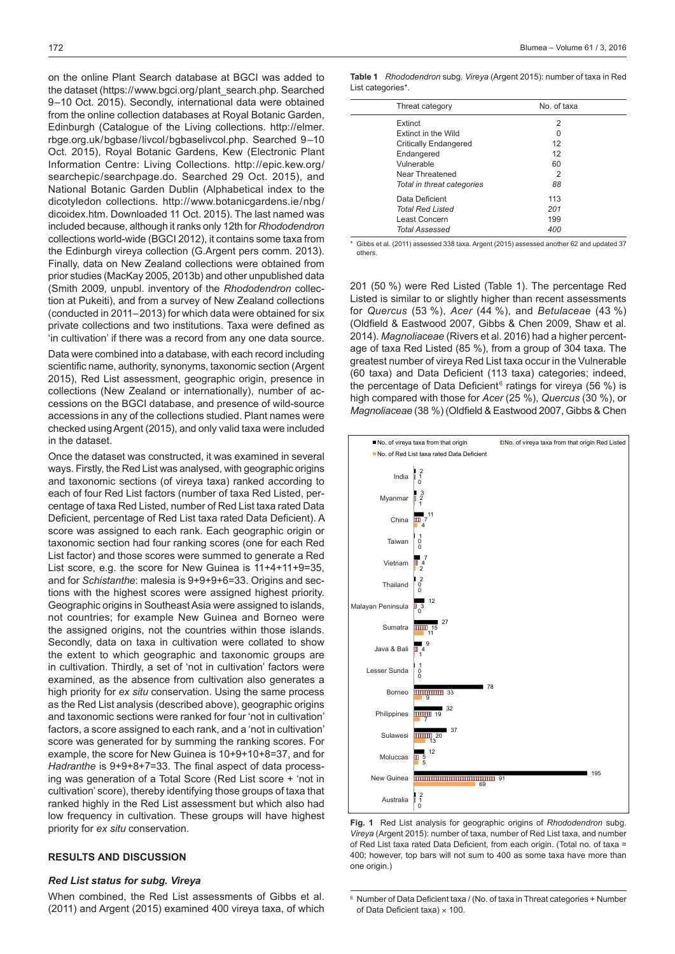on the online Plant Search database at BGCI was added to the dataset (https://www.bgci.org/plant\_search.php. Searched 9–10 Oct. 2015). Secondly, international data were obtained from the online collection databases at Royal Botanic Garden, Edinburgh (Catalogue of the Living collections. http://elmer. rbge.org.uk/bgbase/livcol/bgbaselivcol.php. Searched 9–10 Oct. 2015), Royal Botanic Gardens, Kew (Electronic Plant Information Centre: Living Collections. http://epic.kew.org/ searchepic/searchpage.do. Searched 29 Oct. 2015), and National Botanic Garden Dublin (Alphabetical index to the dicotyledon collections. http://www.botanicgardens.ie/nbg/ dicoidex.htm. Downloaded 11 Oct. 2015). The last named was included because, although it ranks only 12th for *Rhododendron* collections world-wide (BGCI 2012), it contains some taxa from the Edinburgh vireya collection (G.Argent pers comm*.* 2013). Finally, data on New Zealand collections were obtained from prior studies (MacKay 2005, 2013b) and other unpublished data (Smith 2009, unpubl. inventory of the *Rhododendron* collection at Pukeiti), and from a survey of New Zealand collections (conducted in 2011–2013) for which data were obtained for six private collections and two institutions. Taxa were defined as 'in cultivation' if there was a record from any one data source.

Data were combined into a database, with each record including scientific name, authority, synonyms, taxonomic section (Argent 2015), Red List assessment, geographic origin, presence in collections (New Zealand or internationally), number of accessions on the BGCI database, and presence of wild-source accessions in any of the collections studied. Plant names were checked usingArgent (2015), and only valid taxa were included in the dataset.

Once the dataset was constructed, it was examined in several ways. Firstly, the Red List was analysed, with geographic origins and taxonomic sections (of vireya taxa) ranked according to each of four Red List factors (number of taxa Red Listed, percentage of taxa Red Listed, number of Red List taxa rated Data Deficient, percentage of Red List taxa rated Data Deficient). A score was assigned to each rank. Each geographic origin or taxonomic section had four ranking scores (one for each Red List factor) and those scores were summed to generate a Red List score, e.g. the score for New Guinea is 11+4+11+9=35, and for *Schistanthe*: malesia is 9+9+9+6=33. Origins and sections with the highest scores were assigned highest priority. Geographic origins in SoutheastAsia were assigned to islands, not countries; for example New Guinea and Borneo were the assigned origins, not the countries within those islands. Secondly, data on taxa in cultivation were collated to show the extent to which geographic and taxonomic groups are in cultivation. Thirdly, a set of 'not in cultivation' factors were examined, as the absence from cultivation also generates a high priority for *ex situ* conservation. Using the same process as the Red List analysis (described above), geographic origins and taxonomic sections were ranked for four 'not in cultivation' factors, a score assigned to each rank, and a 'not in cultivation' score was generated for by summing the ranking scores. For example, the score for New Guinea is 10+9+10+8=37, and for *Hadranthe* is 9+9+8+7=33. The final aspect of data processing was generation of a Total Score (Red List score + 'not in cultivation' score), thereby identifying those groups of taxa that ranked highly in the Red List assessment but which also had low frequency in cultivation. These groups will have highest priority for *ex situ* conservation.

#### **Results and discussion**

# *Red List status for subg. Vireya*

When combined, the Red List assessments of Gibbs et al. (2011) and Argent (2015) examined 400 vireya taxa, of which

**Table 1** *Rhododendron* subg. *Vireya* (Argent 2015): number of taxa in Red List categories\*.

| Threat category              | No. of taxa |
|------------------------------|-------------|
| Extinct                      | 2           |
| Extinct in the Wild          | 0           |
| <b>Critically Endangered</b> | 12          |
| Endangered                   | 12          |
| Vulnerable                   | 60          |
| Near Threatened              | 2           |
| Total in threat categories   | 88          |
| Data Deficient               | 113         |
| <b>Total Red Listed</b>      | 201         |
| Least Concern                | 199         |
| <b>Total Assessed</b>        | 400         |

\* Gibbs et al. (2011) assessed 338 taxa. Argent (2015) assessed another 62 and updated 37 others.

201 (50 %) were Red Listed (Table 1). The percentage Red Listed is similar to or slightly higher than recent assessments for *Quercus* (53 %), *Acer* (44 %), and *Betulaceae* (43 %) (Oldfield & Eastwood 2007, Gibbs & Chen 2009, Shaw et al. 2014). *Magnoliaceae* (Rivers et al. 2016) had a higher percentage of taxa Red Listed (85 %), from a group of 304 taxa. The greatest number of vireya Red List taxa occur in the Vulnerable (60 taxa) and Data Deficient (113 taxa) categories; indeed, the percentage of Data Deficient $6$  ratings for vireya (56 %) is high compared with those for *Acer* (25 %), *Quercus* (30 %), or *Magnoliaceae* (38 %) (Oldfield & Eastwood 2007, Gibbs & Chen



**Fig. 1**   Red List analysis for geographic origins of *Rhododendron* subg. *Vireya* (Argent 2015): number of taxa, number of Red List taxa, and number of Red List taxa rated Data Deficient, from each origin. (Total no. of taxa = 400; however, top bars will not sum to 400 as some taxa have more than one origin.)

<sup>6</sup> Number of Data Deficient taxa / (No. of taxa in Threat categories + Number of Data Deficient taxa)  $\times$  100.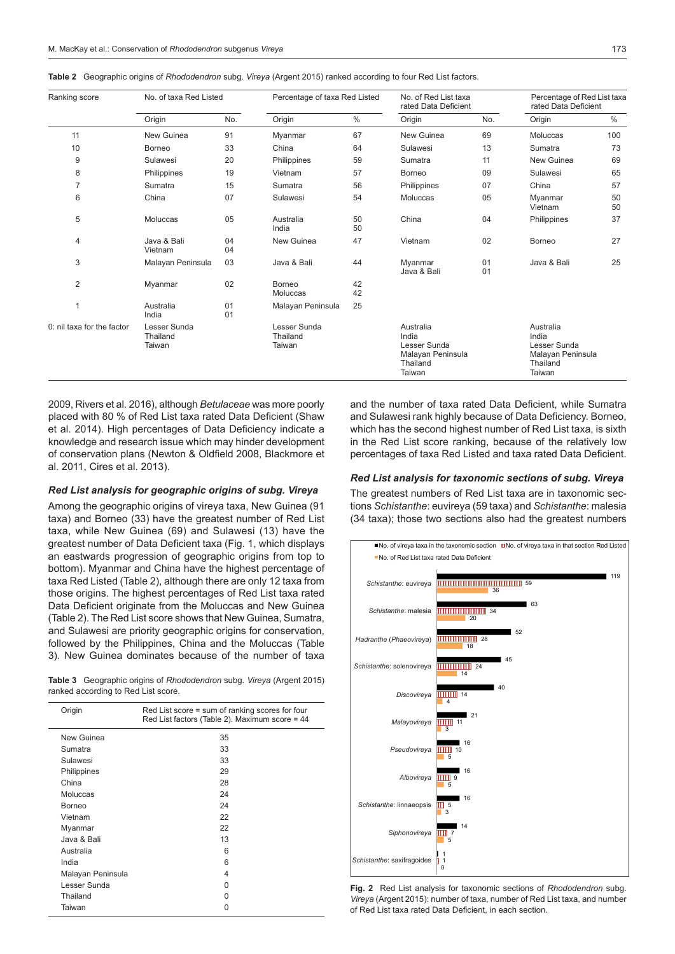| Ranking score              | No. of taxa Red Listed             |          | Percentage of taxa Red Listed      |          | No. of Red List taxa<br>rated Data Deficient                                  |          | Percentage of Red List taxa<br>rated Data Deficient                           |          |
|----------------------------|------------------------------------|----------|------------------------------------|----------|-------------------------------------------------------------------------------|----------|-------------------------------------------------------------------------------|----------|
|                            | Origin                             | No.      | Origin                             | $\%$     | Origin                                                                        | No.      | Origin                                                                        | %        |
| 11                         | New Guinea                         | 91       | Myanmar                            | 67       | New Guinea                                                                    | 69       | Moluccas                                                                      | 100      |
| 10                         | <b>Borneo</b>                      | 33       | China                              | 64       | Sulawesi                                                                      | 13       | Sumatra                                                                       | 73       |
| 9                          | Sulawesi                           | 20       | Philippines                        | 59       | Sumatra                                                                       | 11       | New Guinea                                                                    | 69       |
| 8                          | Philippines                        | 19       | Vietnam                            | 57       | <b>Borneo</b>                                                                 | 09       | Sulawesi                                                                      | 65       |
| $\overline{7}$             | Sumatra                            | 15       | Sumatra                            | 56       | Philippines                                                                   | 07       | China                                                                         | 57       |
| 6                          | China                              | 07       | Sulawesi                           | 54       | Moluccas                                                                      | 05       | Myanmar<br>Vietnam                                                            | 50<br>50 |
| 5                          | Moluccas                           | 05       | Australia<br>India                 | 50<br>50 | China                                                                         | 04       | Philippines                                                                   | 37       |
| 4                          | Java & Bali<br>Vietnam             | 04<br>04 | New Guinea                         | 47       | Vietnam                                                                       | 02       | <b>Borneo</b>                                                                 | 27       |
| 3                          | Malayan Peninsula                  | 03       | Java & Bali                        | 44       | Myanmar<br>Java & Bali                                                        | 01<br>01 | Java & Bali                                                                   | 25       |
| 2                          | Myanmar                            | 02       | Borneo<br>Moluccas                 | 42<br>42 |                                                                               |          |                                                                               |          |
| 1                          | Australia<br>India                 | 01<br>01 | Malayan Peninsula                  | 25       |                                                                               |          |                                                                               |          |
| 0: nil taxa for the factor | Lesser Sunda<br>Thailand<br>Taiwan |          | Lesser Sunda<br>Thailand<br>Taiwan |          | Australia<br>India<br>Lesser Sunda<br>Malayan Peninsula<br>Thailand<br>Taiwan |          | Australia<br>India<br>Lesser Sunda<br>Malayan Peninsula<br>Thailand<br>Taiwan |          |

2009, Rivers et al. 2016), although *Betulaceae* was more poorly placed with 80 % of Red List taxa rated Data Deficient (Shaw et al. 2014). High percentages of Data Deficiency indicate a knowledge and research issue which may hinder development of conservation plans (Newton & Oldfield 2008, Blackmore et al. 2011, Cires et al. 2013).

#### *Red List analysis for geographic origins of subg. Vireya*

Among the geographic origins of vireya taxa, New Guinea (91 taxa) and Borneo (33) have the greatest number of Red List taxa, while New Guinea (69) and Sulawesi (13) have the greatest number of Data Deficient taxa (Fig. 1, which displays an eastwards progression of geographic origins from top to bottom). Myanmar and China have the highest percentage of taxa Red Listed (Table 2), although there are only 12 taxa from those origins. The highest percentages of Red List taxa rated Data Deficient originate from the Moluccas and New Guinea (Table 2). The Red List score shows that New Guinea, Sumatra, and Sulawesi are priority geographic origins for conservation, followed by the Philippines, China and the Moluccas (Table 3). New Guinea dominates because of the number of taxa

**Table 3**   Geographic origins of *Rhododendron* subg. *Vireya* (Argent 2015) ranked according to Red List score.

| Origin            | Red List score $=$ sum of ranking scores for four<br>Red List factors (Table 2). Maximum score = 44 |
|-------------------|-----------------------------------------------------------------------------------------------------|
| New Guinea        | 35                                                                                                  |
| Sumatra           | 33                                                                                                  |
| Sulawesi          | 33                                                                                                  |
| Philippines       | 29                                                                                                  |
| China             | 28                                                                                                  |
| Moluccas          | 24                                                                                                  |
| Borneo            | 24                                                                                                  |
| Vietnam           | 22                                                                                                  |
| Myanmar           | 22                                                                                                  |
| Java & Bali       | 13                                                                                                  |
| Australia         | 6                                                                                                   |
| India             | 6                                                                                                   |
| Malayan Peninsula | 4                                                                                                   |
| Lesser Sunda      | <sup>0</sup>                                                                                        |
| Thailand          | O                                                                                                   |
| Taiwan            | 0                                                                                                   |
|                   |                                                                                                     |

and the number of taxa rated Data Deficient, while Sumatra and Sulawesi rank highly because of Data Deficiency. Borneo, which has the second highest number of Red List taxa, is sixth in the Red List score ranking, because of the relatively low percentages of taxa Red Listed and taxa rated Data Deficient.

## *Red List analysis for taxonomic sections of subg. Vireya*

The greatest numbers of Red List taxa are in taxonomic sections *Schistanthe*: euvireya (59 taxa) and *Schistanthe*: malesia (34 taxa); those two sections also had the greatest numbers



**Fig. 2**   Red List analysis for taxonomic sections of *Rhododendron* subg. *Vireya* (Argent 2015): number of taxa, number of Red List taxa, and number of Red List taxa rated Data Deficient, in each section.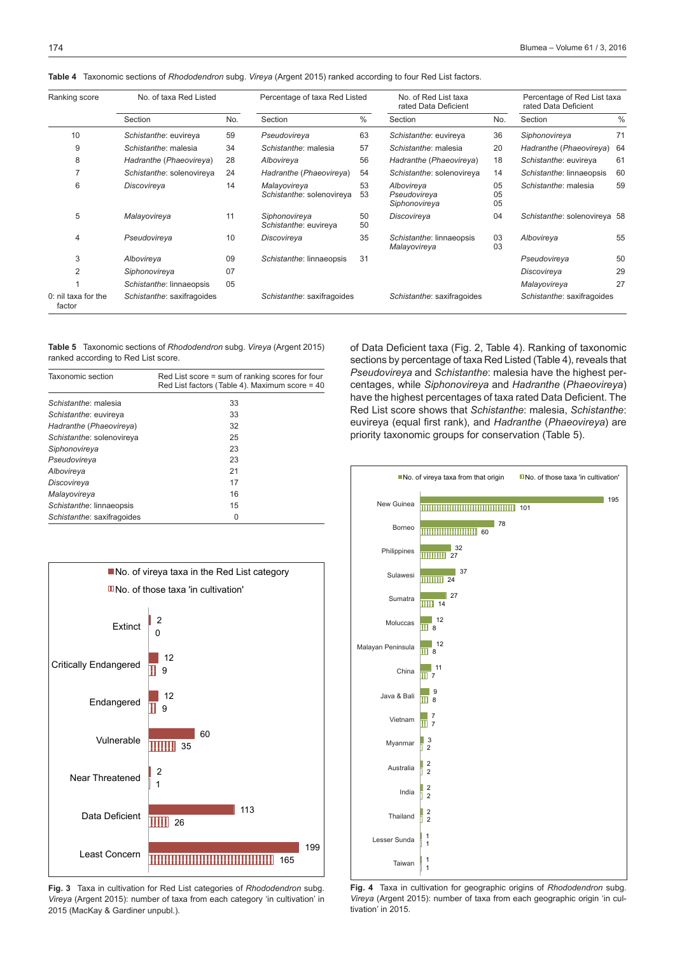| Ranking score<br>10<br>9<br>8<br>6<br>5<br>4 | No. of taxa Red Listed     |     | Percentage of taxa Red Listed             |          | No. of Red List taxa<br>rated Data Deficient |                | Percentage of Red List taxa<br>rated Data Deficient |               |
|----------------------------------------------|----------------------------|-----|-------------------------------------------|----------|----------------------------------------------|----------------|-----------------------------------------------------|---------------|
|                                              | Section                    | No. | Section                                   | $\%$     | Section                                      | No.            | Section                                             | $\frac{0}{c}$ |
|                                              | Schistanthe: euvireya      | 59  | Pseudovireya                              | 63       | Schistanthe: euvireya                        | 36             | Siphonovireya                                       | 71            |
|                                              | Schistanthe: malesia       | 34  | Schistanthe: malesia                      | 57       | Schistanthe: malesia                         | 20             | Hadranthe (Phaeovireya)                             | 64            |
|                                              | Hadranthe (Phaeovireya)    | 28  | Albovireya                                | 56       | Hadranthe (Phaeovireya)                      | 18             | Schistanthe: euvireya                               | 61            |
|                                              | Schistanthe: solenovireya  | 24  | Hadranthe (Phaeovireya)                   | 54       | Schistanthe: solenovireya                    | 14             | Schistanthe: linnaeopsis                            | 60            |
|                                              | Discovireya                | 14  | Malayovireya<br>Schistanthe: solenovireya | 53<br>53 | Albovireva<br>Pseudovireya<br>Siphonovireya  | 05<br>05<br>05 | Schistanthe: malesia                                | 59            |
|                                              | Malayovireya               | 11  | Siphonovireya<br>Schistanthe: euvireya    | 50<br>50 | Discovireya                                  | 04             | Schistanthe: solenovireya 58                        |               |
|                                              | Pseudovireya               | 10  | Discovireya                               | 35       | Schistanthe: linnaeopsis<br>Malayovireya     | 03<br>03       | Albovireya                                          | 55            |
| 3                                            | Albovireya                 | 09  | Schistanthe: linnaeopsis                  | 31       |                                              |                | Pseudovireya                                        | 50            |
| $\overline{2}$                               | Siphonovireya              | 07  |                                           |          |                                              |                | Discovireya                                         | 29            |
|                                              | Schistanthe: linnaeopsis   | 05  |                                           |          |                                              |                | Malayovireya                                        | 27            |
| 0: nil taxa for the<br>factor                | Schistanthe: saxifragoides |     | Schistanthe: saxifragoides                |          | Schistanthe: saxifragoides                   |                | Schistanthe: saxifragoides                          |               |

**Table 4**   Taxonomic sections of *Rhododendron* subg. *Vireya* (Argent 2015) ranked according to four Red List factors.

**Table 5**   Taxonomic sections of *Rhododendron* subg. *Vireya* (Argent 2015) ranked according to Red List score.

| Taxonomic section          | Red List score $=$ sum of ranking scores for four<br>Red List factors (Table 4). Maximum score = 40 |
|----------------------------|-----------------------------------------------------------------------------------------------------|
| Schistanthe: malesia       | 33                                                                                                  |
| Schistanthe: euvireya      | 33                                                                                                  |
| Hadranthe (Phaeovireya)    | 32                                                                                                  |
| Schistanthe: solenovireya  | 25                                                                                                  |
| Siphonovireya              | 23                                                                                                  |
| Pseudovireya               | 23                                                                                                  |
| Albovireya                 | 21                                                                                                  |
| Discovireya                | 17                                                                                                  |
| Malayovireya               | 16                                                                                                  |
| Schistanthe: linnaeopsis   | 15                                                                                                  |
| Schistanthe: saxifragoides | 0                                                                                                   |
|                            |                                                                                                     |



**Fig. 3**   Taxa in cultivation for Red List categories of *Rhododendron* subg. *Vireya* (Argent 2015): number of taxa from each category 'in cultivation' in 2015 (MacKay & Gardiner unpubl.).

of Data Deficient taxa (Fig. 2, Table 4). Ranking of taxonomic sections by percentage of taxa Red Listed (Table 4), reveals that *Pseudovireya* and *Schistanthe*: malesia have the highest percentages, while *Siphonovireya* and *Hadranthe* (*Phaeovireya*) have the highest percentages of taxa rated Data Deficient. The Red List score shows that *Schistanthe*: malesia, *Schistanthe*: euvireya (equal first rank), and *Hadranthe* (*Phaeovireya*) are priority taxonomic groups for conservation (Table 5).



**Fig. 4**   Taxa in cultivation for geographic origins of *Rhododendron* subg. *Vireya* (Argent 2015): number of taxa from each geographic origin 'in cultivation' in 2015.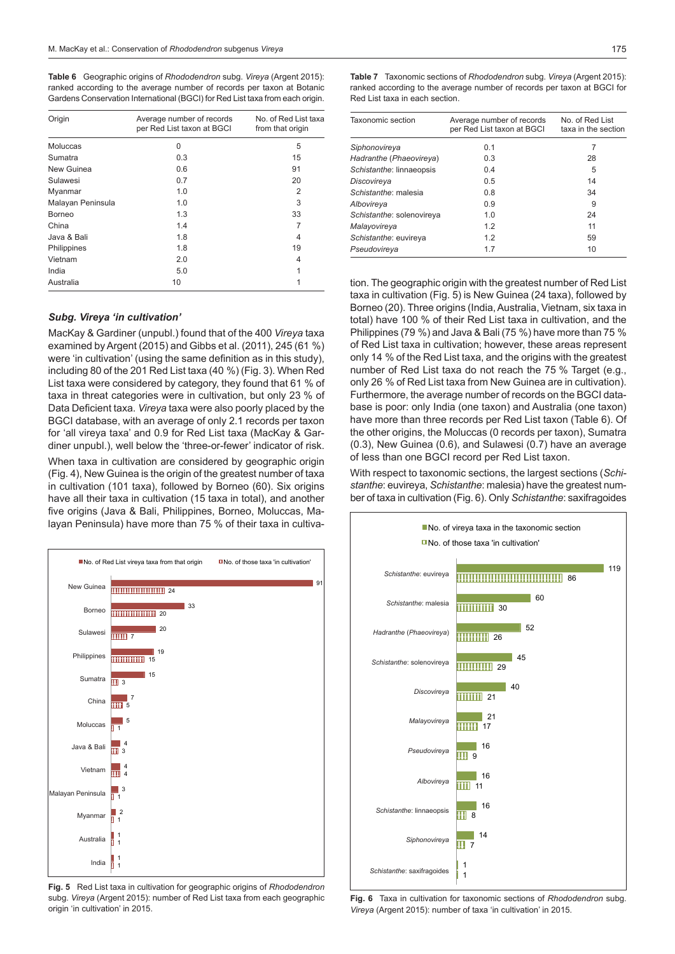**Table 6**   Geographic origins of *Rhododendron* subg. *Vireya* (Argent 2015): ranked according to the average number of records per taxon at Botanic Gardens Conservation International (BGCI) for Red List taxa from each origin.

| Origin            | Average number of records<br>per Red List taxon at BGCI | No. of Red List taxa<br>from that origin |  |  |
|-------------------|---------------------------------------------------------|------------------------------------------|--|--|
| <b>Moluccas</b>   | <sup>0</sup>                                            | 5                                        |  |  |
| Sumatra           | 0.3                                                     | 15                                       |  |  |
| New Guinea        | 0.6                                                     | 91                                       |  |  |
| Sulawesi          | 0.7                                                     | 20                                       |  |  |
| Myanmar           | 1.0                                                     | 2                                        |  |  |
| Malayan Peninsula | 1.0                                                     | 3                                        |  |  |
| <b>Borneo</b>     | 1.3                                                     | 33                                       |  |  |
| China             | 1.4                                                     | 7                                        |  |  |
| Java & Bali       | 1.8                                                     | 4                                        |  |  |
| Philippines       | 1.8                                                     | 19                                       |  |  |
| Vietnam           | 2.0                                                     | 4                                        |  |  |
| India             | 5.0                                                     | 1                                        |  |  |
| Australia         | 10                                                      | 1                                        |  |  |

#### *Subg. Vireya 'in cultivation'*

MacKay & Gardiner (unpubl.) found that of the 400 *Vireya* taxa examined byArgent (2015) and Gibbs et al. (2011), 245 (61 %) were 'in cultivation' (using the same definition as in this study), including 80 of the 201 Red List taxa (40 %) (Fig. 3). When Red List taxa were considered by category, they found that 61 % of taxa in threat categories were in cultivation, but only 23 % of Data Deficient taxa. *Vireya* taxa were also poorly placed by the BGCI database, with an average of only 2.1 records per taxon for 'all vireya taxa' and 0.9 for Red List taxa (MacKay & Gardiner unpubl.), well below the 'three-or-fewer' indicator of risk. When taxa in cultivation are considered by geographic origin

(Fig. 4), New Guinea is the origin of the greatest number of taxa in cultivation (101 taxa), followed by Borneo (60). Six origins have all their taxa in cultivation (15 taxa in total), and another five origins (Java & Bali, Philippines, Borneo, Moluccas, Malayan Peninsula) have more than 75 % of their taxa in cultiva-



**Fig. 5**   Red List taxa in cultivation for geographic origins of *Rhododendron* subg. *Vireya* (Argent 2015): number of Red List taxa from each geographic origin 'in cultivation' in 2015.

| Taxonomic section         | Average number of records<br>per Red List taxon at BGCI | No. of Red List<br>taxa in the section |
|---------------------------|---------------------------------------------------------|----------------------------------------|
| Siphonovireya             | 0.1                                                     | 7                                      |
| Hadranthe (Phaeovireya)   | 0.3                                                     | 28                                     |
| Schistanthe: linnaeopsis  | 0.4                                                     | 5                                      |
| Discovireya               | 0.5                                                     | 14                                     |
| Schistanthe: malesia      | 0.8                                                     | 34                                     |
| Albovireya                | 0.9                                                     | 9                                      |
| Schistanthe: solenovireya | 1.0                                                     | 24                                     |
| Malayovireya              | 1.2                                                     | 11                                     |
| Schistanthe: euvireya     | 1.2                                                     | 59                                     |
| Pseudovireya              | 17                                                      | 10                                     |
|                           |                                                         |                                        |

tion. The geographic origin with the greatest number of Red List taxa in cultivation (Fig. 5) is New Guinea (24 taxa), followed by Borneo (20). Three origins (India, Australia, Vietnam, six taxa in total) have 100 % of their Red List taxa in cultivation, and the Philippines (79 %) and Java & Bali (75 %) have more than 75 % of Red List taxa in cultivation; however, these areas represent only 14 % of the Red List taxa, and the origins with the greatest number of Red List taxa do not reach the 75 % Target (e.g., only 26 % of Red List taxa from New Guinea are in cultivation). Furthermore, the average number of records on the BGCI database is poor: only India (one taxon) and Australia (one taxon) have more than three records per Red List taxon (Table 6). Of the other origins, the Moluccas (0 records per taxon), Sumatra (0.3), New Guinea (0.6), and Sulawesi (0.7) have an average of less than one BGCI record per Red List taxon.

With respect to taxonomic sections, the largest sections (*Schistanthe*: euvireya, *Schistanthe*: malesia) have the greatest number of taxa in cultivation (Fig. 6). Only *Schistanthe*: saxifragoides



**Fig. 6**   Taxa in cultivation for taxonomic sections of *Rhododendron* subg. *Vireya* (Argent 2015): number of taxa 'in cultivation' in 2015.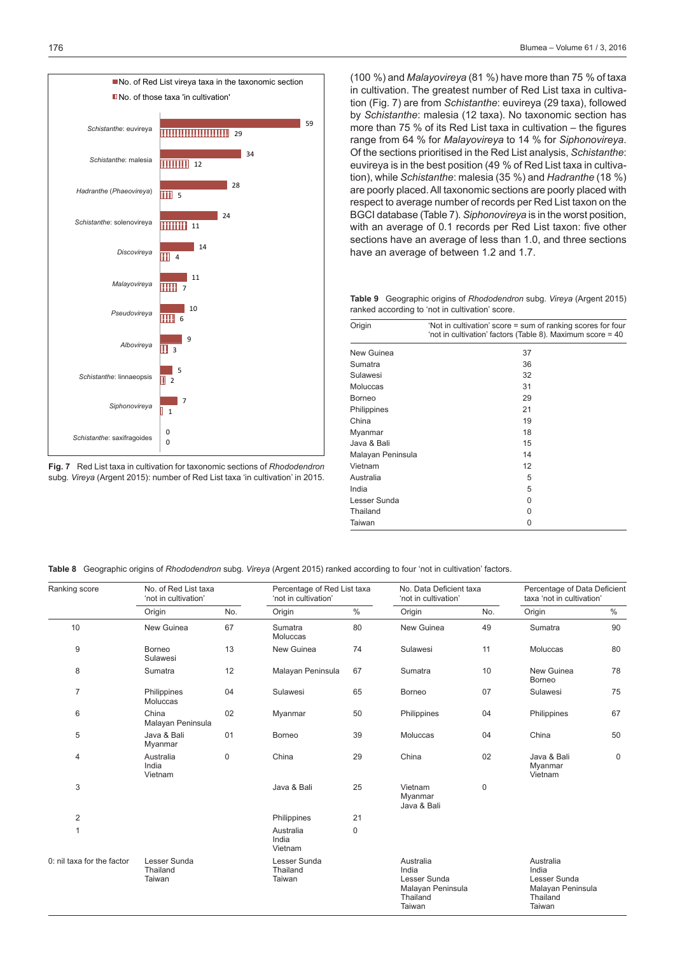



(100 %) and *Malayovireya* (81 %) have more than 75 % of taxa in cultivation. The greatest number of Red List taxa in cultivation (Fig. 7) are from *Schistanthe*: euvireya (29 taxa), followed by *Schistanthe*: malesia (12 taxa). No taxonomic section has more than 75 % of its Red List taxa in cultivation – the figures range from 64 % for *Malayovireya* to 14 % for *Siphonovireya*. Of the sections prioritised in the Red List analysis, *Schistanthe*: euvireya is in the best position (49 % of Red List taxa in cultivation), while *Schistanthe*: malesia (35 %) and *Hadranthe* (18 %) are poorly placed.All taxonomic sections are poorly placed with respect to average number of records per Red List taxon on the BGCI database (Table 7). *Siphonovireya* is in the worst position, with an average of 0.1 records per Red List taxon: five other sections have an average of less than 1.0, and three sections have an average of between 1.2 and 1.7.

**Table 9**   Geographic origins of *Rhododendron* subg. *Vireya* (Argent 2015) ranked according to 'not in cultivation' score.

| Origin            | 'Not in cultivation' score = sum of ranking scores for four<br>'not in cultivation' factors (Table 8). Maximum score = 40 |
|-------------------|---------------------------------------------------------------------------------------------------------------------------|
| New Guinea        | 37                                                                                                                        |
| Sumatra           | 36                                                                                                                        |
| Sulawesi          | 32                                                                                                                        |
| <b>Moluccas</b>   | 31                                                                                                                        |
| <b>Borneo</b>     | 29                                                                                                                        |
| Philippines       | 21                                                                                                                        |
| China             | 19                                                                                                                        |
| Myanmar           | 18                                                                                                                        |
| Java & Bali       | 15                                                                                                                        |
| Malayan Peninsula | 14                                                                                                                        |
| Vietnam           | 12                                                                                                                        |
| Australia         | 5                                                                                                                         |
| India             | 5                                                                                                                         |
| Lesser Sunda      | 0                                                                                                                         |
| Thailand          | 0                                                                                                                         |
| Taiwan            | 0                                                                                                                         |

**Table 8**   Geographic origins of *Rhododendron* subg. *Vireya* (Argent 2015) ranked according to four 'not in cultivation' factors.

| Ranking score              | No. of Red List taxa<br>'not in cultivation' |     | 'not in cultivation'               | Percentage of Red List taxa |                                                                               | No. Data Deficient taxa<br>'not in cultivation' |                                                                               | Percentage of Data Deficient<br>taxa 'not in cultivation' |  |
|----------------------------|----------------------------------------------|-----|------------------------------------|-----------------------------|-------------------------------------------------------------------------------|-------------------------------------------------|-------------------------------------------------------------------------------|-----------------------------------------------------------|--|
|                            | Origin                                       | No. | Origin                             | $\%$                        | Origin                                                                        | No.                                             | Origin                                                                        | $\%$                                                      |  |
| 10                         | New Guinea                                   | 67  | Sumatra<br>Moluccas                | 80                          | New Guinea                                                                    | 49                                              | Sumatra                                                                       | 90                                                        |  |
| 9                          | <b>Borneo</b><br>Sulawesi                    | 13  | New Guinea                         | 74                          | Sulawesi                                                                      | 11                                              | Moluccas                                                                      | 80                                                        |  |
| 8                          | Sumatra                                      | 12  | Malayan Peninsula                  | 67                          | Sumatra                                                                       | 10                                              | New Guinea<br><b>Borneo</b>                                                   | 78                                                        |  |
| $\overline{7}$             | Philippines<br>Moluccas                      | 04  | Sulawesi                           | 65                          | <b>Borneo</b>                                                                 | 07                                              | Sulawesi                                                                      | 75                                                        |  |
| 6                          | China<br>Malayan Peninsula                   | 02  | Myanmar                            | 50                          | Philippines                                                                   | 04                                              | Philippines                                                                   | 67                                                        |  |
| 5                          | Java & Bali<br>Myanmar                       | 01  | <b>Borneo</b>                      | 39                          | Moluccas                                                                      | 04                                              | China                                                                         | 50                                                        |  |
| 4                          | Australia<br>India<br>Vietnam                | 0   | China                              | 29                          | China                                                                         | 02                                              | Java & Bali<br>Myanmar<br>Vietnam                                             | $\mathbf 0$                                               |  |
| 3                          |                                              |     | Java & Bali                        | 25                          | Vietnam<br>Myanmar<br>Java & Bali                                             | $\mathbf 0$                                     |                                                                               |                                                           |  |
| 2                          |                                              |     | Philippines                        | 21                          |                                                                               |                                                 |                                                                               |                                                           |  |
| $\mathbf{1}$               |                                              |     | Australia<br>India<br>Vietnam      | $\mathsf 0$                 |                                                                               |                                                 |                                                                               |                                                           |  |
| 0: nil taxa for the factor | Lesser Sunda<br>Thailand<br>Taiwan           |     | Lesser Sunda<br>Thailand<br>Taiwan |                             | Australia<br>India<br>Lesser Sunda<br>Malayan Peninsula<br>Thailand<br>Taiwan |                                                 | Australia<br>India<br>Lesser Sunda<br>Malayan Peninsula<br>Thailand<br>Taiwan |                                                           |  |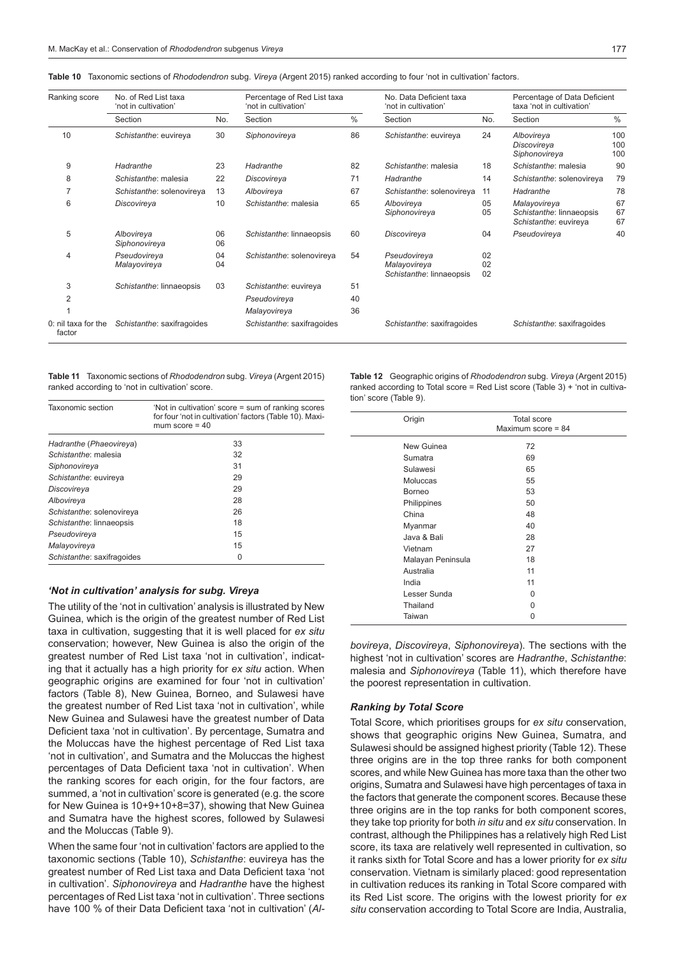|  |  | Table 10 Taxonomic sections of Rhododendron subg. Vireya (Argent 2015) ranked according to four 'not in cultivation' factors |  |  |  |  |  |
|--|--|------------------------------------------------------------------------------------------------------------------------------|--|--|--|--|--|
|--|--|------------------------------------------------------------------------------------------------------------------------------|--|--|--|--|--|

| Ranking score                 | No. of Red List taxa<br>'not in cultivation' |          | Percentage of Red List taxa<br>'not in cultivation' |               | No. Data Deficient taxa<br>'not in cultivation'          |                | Percentage of Data Deficient<br>taxa 'not in cultivation'         |                   |
|-------------------------------|----------------------------------------------|----------|-----------------------------------------------------|---------------|----------------------------------------------------------|----------------|-------------------------------------------------------------------|-------------------|
|                               | Section                                      | No.      | Section                                             | $\frac{0}{0}$ | Section                                                  | No.            | Section                                                           | $\%$              |
| 10                            | Schistanthe: euvireya                        | 30       | Siphonovireya                                       | 86            | Schistanthe: euvireya                                    | 24             | Albovireya<br>Discovireva<br>Siphonovireya                        | 100<br>100<br>100 |
| 9                             | Hadranthe                                    | 23       | Hadranthe                                           | 82            | Schistanthe: malesia                                     | 18             | Schistanthe: malesia                                              | 90                |
| 8                             | Schistanthe: malesia                         | 22       | Discovireya                                         | 71            | Hadranthe                                                | 14             | Schistanthe: solenovireya                                         | 79                |
|                               | Schistanthe: solenovireya                    | 13       | Albovireya                                          | 67            | Schistanthe: solenovireya                                | 11             | Hadranthe                                                         | 78                |
| 6                             | Discovireya                                  | 10       | Schistanthe: malesia                                | 65            | Albovireya<br>Siphonovireya                              | 05<br>05       | Malayovireya<br>Schistanthe: linnaeopsis<br>Schistanthe: euvireya | 67<br>67<br>67    |
| 5                             | Albovireya<br>Siphonovireya                  | 06<br>06 | Schistanthe: linnaeopsis                            | 60            | Discovireya                                              | 04             | Pseudovireya                                                      | 40                |
| 4                             | Pseudovireva<br>Malayovireya                 | 04<br>04 | Schistanthe: solenovireya                           | 54            | Pseudovireya<br>Malayovireya<br>Schistanthe: linnaeopsis | 02<br>02<br>02 |                                                                   |                   |
| 3                             | Schistanthe: linnaeopsis                     | 03       | Schistanthe: euvireya                               | 51            |                                                          |                |                                                                   |                   |
| 2                             |                                              |          | Pseudovireya                                        | 40            |                                                          |                |                                                                   |                   |
|                               |                                              |          | Malayovireya                                        | 36            |                                                          |                |                                                                   |                   |
| 0: nil taxa for the<br>factor | Schistanthe: saxifragoides                   |          | Schistanthe: saxifragoides                          |               | Schistanthe: saxifragoides                               |                | Schistanthe: saxifragoides                                        |                   |

**Table 11**   Taxonomic sections of *Rhododendron* subg. *Vireya* (Argent 2015) ranked according to 'not in cultivation' score.

| Taxonomic section          | 'Not in cultivation' score = sum of ranking scores<br>for four 'not in cultivation' factors (Table 10). Maxi-<br>mum score $=$ 40 |  |
|----------------------------|-----------------------------------------------------------------------------------------------------------------------------------|--|
| Hadranthe (Phaeovireya)    | 33                                                                                                                                |  |
| Schistanthe: malesia       | 32                                                                                                                                |  |
| Siphonovireya              | 31                                                                                                                                |  |
| Schistanthe: euvireya      | 29                                                                                                                                |  |
| Discovireya                | 29                                                                                                                                |  |
| Albovireya                 | 28                                                                                                                                |  |
| Schistanthe: solenovireya  | 26                                                                                                                                |  |
| Schistanthe: linnaeopsis   | 18                                                                                                                                |  |
| Pseudovireya               | 15                                                                                                                                |  |
| Malayovireya               | 15                                                                                                                                |  |
| Schistanthe: saxifragoides | 0                                                                                                                                 |  |

#### *'Not in cultivation' analysis for subg. Vireya*

The utility of the 'not in cultivation' analysis is illustrated by New Guinea, which is the origin of the greatest number of Red List taxa in cultivation, suggesting that it is well placed for *ex situ* conservation; however, New Guinea is also the origin of the greatest number of Red List taxa 'not in cultivation', indicating that it actually has a high priority for *ex situ* action. When geographic origins are examined for four 'not in cultivation' factors (Table 8), New Guinea, Borneo, and Sulawesi have the greatest number of Red List taxa 'not in cultivation', while New Guinea and Sulawesi have the greatest number of Data Deficient taxa 'not in cultivation'. By percentage, Sumatra and the Moluccas have the highest percentage of Red List taxa 'not in cultivation', and Sumatra and the Moluccas the highest percentages of Data Deficient taxa 'not in cultivation'. When the ranking scores for each origin, for the four factors, are summed, a 'not in cultivation' score is generated (e.g. the score for New Guinea is 10+9+10+8=37), showing that New Guinea and Sumatra have the highest scores, followed by Sulawesi and the Moluccas (Table 9).

When the same four 'not in cultivation' factors are applied to the taxonomic sections (Table 10), *Schistanthe*: euvireya has the greatest number of Red List taxa and Data Deficient taxa 'not in cultivation'. *Siphonovireya* and *Hadranthe* have the highest percentages of Red List taxa 'not in cultivation'. Three sections have 100 % of their Data Deficient taxa 'not in cultivation' (*Al-* **Table 12**   Geographic origins of *Rhododendron* subg. *Vireya* (Argent 2015) ranked according to Total score = Red List score (Table 3) + 'not in cultivation' score (Table 9).

| Origin            | <b>Total score</b><br>Maximum score = 84 |  |
|-------------------|------------------------------------------|--|
| New Guinea        | 72                                       |  |
| Sumatra           | 69                                       |  |
| Sulawesi          | 65                                       |  |
| Moluccas          | 55                                       |  |
| <b>Borneo</b>     | 53                                       |  |
| Philippines       | 50                                       |  |
| China             | 48                                       |  |
| Myanmar           | 40                                       |  |
| Java & Bali       | 28                                       |  |
| Vietnam           | 27                                       |  |
| Malayan Peninsula | 18                                       |  |
| Australia         | 11                                       |  |
| India             | 11                                       |  |
| Lesser Sunda      | 0                                        |  |
| Thailand          | 0                                        |  |
| Taiwan            | 0                                        |  |

*bovireya*, *Discovireya*, *Siphonovireya*). The sections with the highest 'not in cultivation' scores are *Hadranthe*, *Schistanthe*: malesia and *Siphonovireya* (Table 11), which therefore have the poorest representation in cultivation.

#### *Ranking by Total Score*

Total Score, which prioritises groups for *ex situ* conservation, shows that geographic origins New Guinea, Sumatra, and Sulawesi should be assigned highest priority (Table 12). These three origins are in the top three ranks for both component scores, and while New Guinea has more taxa than the other two origins, Sumatra and Sulawesi have high percentages of taxa in the factors that generate the component scores. Because these three origins are in the top ranks for both component scores, they take top priority for both *in situ* and *ex situ* conservation. In contrast, although the Philippines has a relatively high Red List score, its taxa are relatively well represented in cultivation, so it ranks sixth for Total Score and has a lower priority for *ex situ* conservation. Vietnam is similarly placed: good representation in cultivation reduces its ranking in Total Score compared with its Red List score. The origins with the lowest priority for *ex situ* conservation according to Total Score are India, Australia,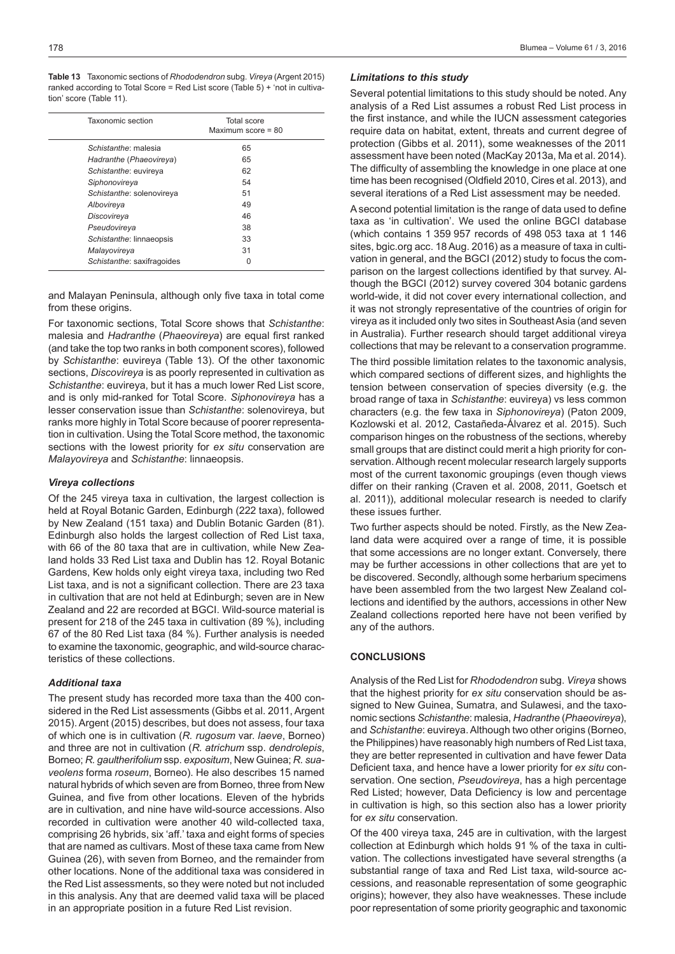**Table 13**   Taxonomic sections of *Rhododendron* subg. *Vireya* (Argent 2015) ranked according to Total Score = Red List score (Table 5) + 'not in cultivation' score (Table 11).

| Taxonomic section          | <b>Total score</b><br>Maximum score $= 80$ |
|----------------------------|--------------------------------------------|
| Schistanthe: malesia       | 65                                         |
| Hadranthe (Phaeovireya)    | 65                                         |
| Schistanthe: euvireya      | 62                                         |
| Siphonovireya              | 54                                         |
| Schistanthe: solenovireya  | 51                                         |
| Albovireya                 | 49                                         |
| Discovireya                | 46                                         |
| Pseudovireya               | 38                                         |
| Schistanthe: linnaeopsis   | 33                                         |
| Malayovireya               | 31                                         |
| Schistanthe: saxifragoides | 0                                          |
|                            |                                            |

and Malayan Peninsula, although only five taxa in total come from these origins.

For taxonomic sections, Total Score shows that *Schistanthe*: malesia and *Hadranthe* (*Phaeovireya*) are equal first ranked (and take the top two ranks in both component scores), followed by *Schistanthe*: euvireya (Table 13). Of the other taxonomic sections, *Discovireya* is as poorly represented in cultivation as *Schistanthe*: euvireya, but it has a much lower Red List score, and is only mid-ranked for Total Score. *Siphonovireya* has a lesser conservation issue than *Schistanthe*: solenovireya, but ranks more highly in Total Score because of poorer representation in cultivation. Using the Total Score method, the taxonomic sections with the lowest priority for *ex situ* conservation are *Malayovireya* and *Schistanthe*: linnaeopsis.

#### *Vireya collections*

Of the 245 vireya taxa in cultivation, the largest collection is held at Royal Botanic Garden, Edinburgh (222 taxa), followed by New Zealand (151 taxa) and Dublin Botanic Garden (81). Edinburgh also holds the largest collection of Red List taxa, with 66 of the 80 taxa that are in cultivation, while New Zealand holds 33 Red List taxa and Dublin has 12. Royal Botanic Gardens, Kew holds only eight vireya taxa, including two Red List taxa, and is not a significant collection. There are 23 taxa in cultivation that are not held at Edinburgh; seven are in New Zealand and 22 are recorded at BGCI. Wild-source material is present for 218 of the 245 taxa in cultivation (89 %), including 67 of the 80 Red List taxa (84 %). Further analysis is needed to examine the taxonomic, geographic, and wild-source characteristics of these collections.

#### *Additional taxa*

The present study has recorded more taxa than the 400 considered in the Red List assessments (Gibbs et al. 2011, Argent 2015).Argent (2015) describes, but does not assess, four taxa of which one is in cultivation (*R. rugosum* var. *laeve*, Borneo) and three are not in cultivation (*R. atrichum* ssp. *dendrolepis*, Borneo; *R. gaultherifolium* ssp. *expositum*, New Guinea; *R. suaveolens* forma *roseum*, Borneo). He also describes 15 named natural hybrids of which seven are from Borneo, three from New Guinea, and five from other locations. Eleven of the hybrids are in cultivation, and nine have wild-source accessions. Also recorded in cultivation were another 40 wild-collected taxa, comprising 26 hybrids, six 'aff.' taxa and eight forms of species that are named as cultivars. Most of these taxa came from New Guinea (26), with seven from Borneo, and the remainder from other locations. None of the additional taxa was considered in the Red List assessments, so they were noted but not included in this analysis. Any that are deemed valid taxa will be placed in an appropriate position in a future Red List revision.

#### *Limitations to this study*

Several potential limitations to this study should be noted. Any analysis of a Red List assumes a robust Red List process in the first instance, and while the IUCN assessment categories require data on habitat, extent, threats and current degree of protection (Gibbs et al. 2011), some weaknesses of the 2011 assessment have been noted (MacKay 2013a, Ma et al. 2014). The difficulty of assembling the knowledge in one place at one time has been recognised (Oldfield 2010, Cires et al. 2013), and several iterations of a Red List assessment may be needed.

Asecond potential limitation is the range of data used to define taxa as 'in cultivation'. We used the online BGCI database (which contains 1 359 957 records of 498 053 taxa at 1 146 sites, bgic.org acc. 18Aug. 2016) as a measure of taxa in cultivation in general, and the BGCI (2012) study to focus the comparison on the largest collections identified by that survey. Although the BGCI (2012) survey covered 304 botanic gardens world-wide, it did not cover every international collection, and it was not strongly representative of the countries of origin for vireya as it included only two sites in SoutheastAsia (and seven in Australia). Further research should target additional vireya collections that may be relevant to a conservation programme.

The third possible limitation relates to the taxonomic analysis, which compared sections of different sizes, and highlights the tension between conservation of species diversity (e.g. the broad range of taxa in *Schistanthe*: euvireya) vs less common characters (e.g. the few taxa in *Siphonovireya*) (Paton 2009, Kozlowski et al. 2012, Castañeda-Álvarez et al. 2015). Such comparison hinges on the robustness of the sections, whereby small groups that are distinct could merit a high priority for conservation.Although recent molecular research largely supports most of the current taxonomic groupings (even though views differ on their ranking (Craven et al. 2008, 2011, Goetsch et al. 2011)), additional molecular research is needed to clarify these issues further.

Two further aspects should be noted. Firstly, as the New Zealand data were acquired over a range of time, it is possible that some accessions are no longer extant. Conversely, there may be further accessions in other collections that are yet to be discovered. Secondly, although some herbarium specimens have been assembled from the two largest New Zealand collections and identified by the authors, accessions in other New Zealand collections reported here have not been verified by any of the authors.

#### **Conclusions**

Analysis of the Red List for *Rhododendron* subg. *Vireya* shows that the highest priority for *ex situ* conservation should be assigned to New Guinea, Sumatra, and Sulawesi, and the taxonomic sections *Schistanthe*: malesia, *Hadranthe* (*Phaeovireya*), and *Schistanthe*: euvireya.Although two other origins (Borneo, the Philippines) have reasonably high numbers of Red List taxa, they are better represented in cultivation and have fewer Data Deficient taxa, and hence have a lower priority for *ex situ* conservation. One section, *Pseudovireya*, has a high percentage Red Listed; however, Data Deficiency is low and percentage in cultivation is high, so this section also has a lower priority for *ex situ* conservation.

Of the 400 vireya taxa, 245 are in cultivation, with the largest collection at Edinburgh which holds 91 % of the taxa in cultivation. The collections investigated have several strengths (a substantial range of taxa and Red List taxa, wild-source accessions, and reasonable representation of some geographic origins); however, they also have weaknesses. These include poor representation of some priority geographic and taxonomic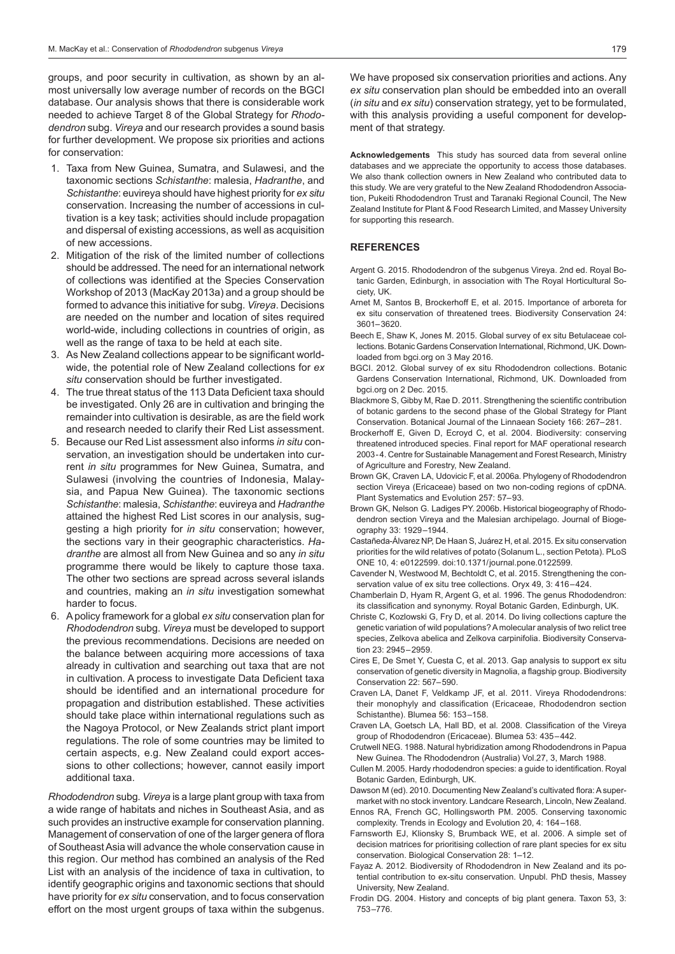groups, and poor security in cultivation, as shown by an almost universally low average number of records on the BGCI database. Our analysis shows that there is considerable work needed to achieve Target 8 of the Global Strategy for *Rhododendron* subg. *Vireya* and our research provides a sound basis for further development. We propose six priorities and actions for conservation:

- 1. Taxa from New Guinea, Sumatra, and Sulawesi, and the taxonomic sections *Schistanthe*: malesia, *Hadranthe*, and *Schistanthe*: euvireya should have highest priority for *ex situ* conservation. Increasing the number of accessions in cultivation is a key task; activities should include propagation and dispersal of existing accessions, as well as acquisition of new accessions.
- 2. Mitigation of the risk of the limited number of collections should be addressed. The need for an international network of collections was identified at the Species Conservation Workshop of 2013 (MacKay 2013a) and a group should be formed to advance this initiative for subg. *Vireya*. Decisions are needed on the number and location of sites required world-wide, including collections in countries of origin, as well as the range of taxa to be held at each site.
- 3. As New Zealand collections appear to be significant worldwide, the potential role of New Zealand collections for *ex situ* conservation should be further investigated.
- 4. The true threat status of the 113 Data Deficient taxa should be investigated. Only 26 are in cultivation and bringing the remainder into cultivation is desirable, as are the field work and research needed to clarify their Red List assessment.
- 5. Because our Red List assessment also informs *in situ* conservation, an investigation should be undertaken into current *in situ* programmes for New Guinea, Sumatra, and Sulawesi (involving the countries of Indonesia, Malaysia, and Papua New Guinea). The taxonomic sections *Schistanthe*: malesia, *Schistanthe*: euvireya and *Hadranthe* attained the highest Red List scores in our analysis, suggesting a high priority for *in situ* conservation; however, the sections vary in their geographic characteristics. *Hadranthe* are almost all from New Guinea and so any *in situ* programme there would be likely to capture those taxa. The other two sections are spread across several islands and countries, making an *in situ* investigation somewhat harder to focus.
- 6. Apolicy framework for a global *ex situ* conservation plan for *Rhododendron* subg. *Vireya* must be developed to support the previous recommendations. Decisions are needed on the balance between acquiring more accessions of taxa already in cultivation and searching out taxa that are not in cultivation. A process to investigate Data Deficient taxa should be identified and an international procedure for propagation and distribution established. These activities should take place within international regulations such as the Nagoya Protocol, or New Zealands strict plant import regulations. The role of some countries may be limited to certain aspects, e.g. New Zealand could export accessions to other collections; however, cannot easily import additional taxa.

*Rhododendron* subg. *Vireya* is a large plant group with taxa from a wide range of habitats and niches in Southeast Asia, and as such provides an instructive example for conservation planning. Management of conservation of one of the larger genera of flora of Southeast Asia will advance the whole conservation cause in this region. Our method has combined an analysis of the Red List with an analysis of the incidence of taxa in cultivation, to identify geographic origins and taxonomic sections that should have priority for *ex situ* conservation, and to focus conservation effort on the most urgent groups of taxa within the subgenus.

We have proposed six conservation priorities and actions. Any *ex situ* conservation plan should be embedded into an overall (*in situ* and *ex situ*) conservation strategy, yet to be formulated, with this analysis providing a useful component for development of that strategy.

**Acknowledgements**   This study has sourced data from several online databases and we appreciate the opportunity to access those databases. We also thank collection owners in New Zealand who contributed data to this study. We are very grateful to the New Zealand Rhododendron Association, Pukeiti Rhododendron Trust and Taranaki Regional Council, The New Zealand Institute for Plant & Food Research Limited, and Massey University for supporting this research.

## **References**

- Argent G. 2015. Rhododendron of the subgenus Vireya. 2nd ed. Royal Botanic Garden, Edinburgh, in association with The Royal Horticultural Society, UK.
- Arnet M, Santos B, Brockerhoff E, et al. 2015. Importance of arboreta for ex situ conservation of threatened trees. Biodiversity Conservation 24: 3601–3620.
- Beech E, Shaw K, Jones M. 2015. Global survey of ex situ Betulaceae collections. Botanic Gardens Conservation International, Richmond, UK. Downloaded from bgci.org on 3 May 2016.
- BGCI. 2012. Global survey of ex situ Rhododendron collections. Botanic Gardens Conservation International, Richmond, UK. Downloaded from bgci.org on 2 Dec. 2015.
- Blackmore S, Gibby M, Rae D. 2011. Strengthening the scientific contribution of botanic gardens to the second phase of the Global Strategy for Plant Conservation. Botanical Journal of the Linnaean Society 166: 267–281.
- Brockerhoff E, Given D, Ecroyd C, et al. 2004. Biodiversity: conserving threatened introduced species. Final report for MAF operational research 2003 - 4. Centre for Sustainable Management and Forest Research, Ministry of Agriculture and Forestry, New Zealand.
- Brown GK, Craven LA, Udovicic F, et al. 2006a. Phylogeny of Rhododendron section Vireya (Ericaceae) based on two non-coding regions of cpDNA. Plant Systematics and Evolution 257: 57–93.
- Brown GK, Nelson G. Ladiges PY. 2006b. Historical biogeography of Rhododendron section Vireya and the Malesian archipelago. Journal of Biogeography 33: 1929–1944.
- Castañeda-Álvarez NP, De Haan S, Juárez H, et al. 2015. Ex situ conservation priorities for the wild relatives of potato (Solanum L., section Petota). PLoS ONE 10, 4: e0122599. doi:10.1371/journal.pone.0122599.
- Cavender N, Westwood M, Bechtoldt C, et al. 2015. Strengthening the conservation value of ex situ tree collections. Oryx 49, 3: 416–424.
- Chamberlain D, Hyam R, Argent G, et al. 1996. The genus Rhododendron: its classification and synonymy. Royal Botanic Garden, Edinburgh, UK.
- Christe C, Kozlowski G, Fry D, et al. 2014. Do living collections capture the genetic variation of wild populations? A molecular analysis of two relict tree species, Zelkova abelica and Zelkova carpinifolia. Biodiversity Conservation 23: 2945–2959.
- Cires E, De Smet Y, Cuesta C, et al. 2013. Gap analysis to support ex situ conservation of genetic diversity in Magnolia, a flagship group. Biodiversity Conservation 22: 567–590.
- Craven LA, Danet F, Veldkamp JF, et al. 2011. Vireya Rhododendrons: their monophyly and classification (Ericaceae, Rhododendron section Schistanthe). Blumea 56: 153–158.
- Craven LA, Goetsch LA, Hall BD, et al. 2008. Classification of the Vireya group of Rhododendron (Ericaceae). Blumea 53: 435–442.
- Crutwell NEG. 1988. Natural hybridization among Rhododendrons in Papua New Guinea. The Rhododendron (Australia) Vol.27, 3, March 1988.
- Cullen M. 2005. Hardy rhododendron species: a guide to identification. Royal Botanic Garden, Edinburgh, UK.
- Dawson M (ed). 2010. Documenting New Zealand's cultivated flora: A supermarket with no stock inventory. Landcare Research, Lincoln, New Zealand.
- Ennos RA, French GC, Hollingsworth PM. 2005. Conserving taxonomic complexity. Trends in Ecology and Evolution 20, 4: 164–168.
- Farnsworth EJ, Klionsky S, Brumback WE, et al. 2006. A simple set of decision matrices for prioritising collection of rare plant species for ex situ conservation. Biological Conservation 28: 1–12.
- Fayaz A. 2012. Biodiversity of Rhododendron in New Zealand and its potential contribution to ex-situ conservation. Unpubl. PhD thesis, Massey University, New Zealand.
- Frodin DG. 2004. History and concepts of big plant genera. Taxon 53, 3: 753–776.